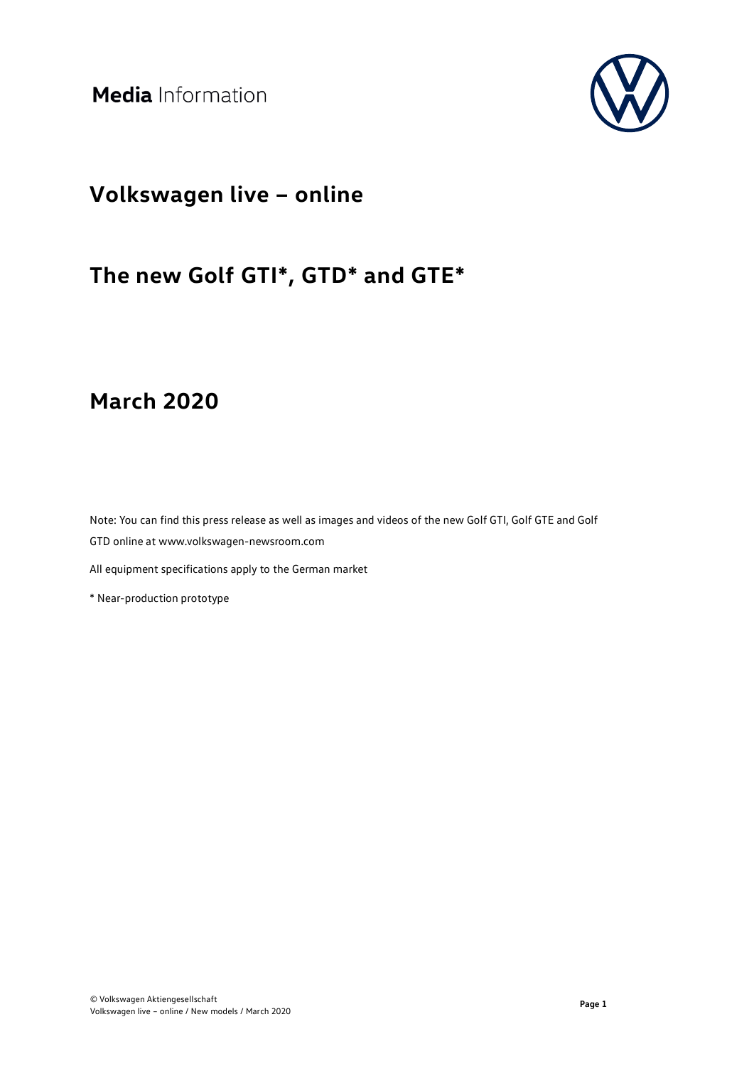

### **Volkswagen live – online**

# **The new Golf GTI\*, GTD\* and GTE\***

### **March 2020**

Note: You can find this press release as well as images and videos of the new Golf GTI, Golf GTE and Golf GTD online at www.volkswagen-newsroom.com

All equipment specifications apply to the German market

\* Near-production prototype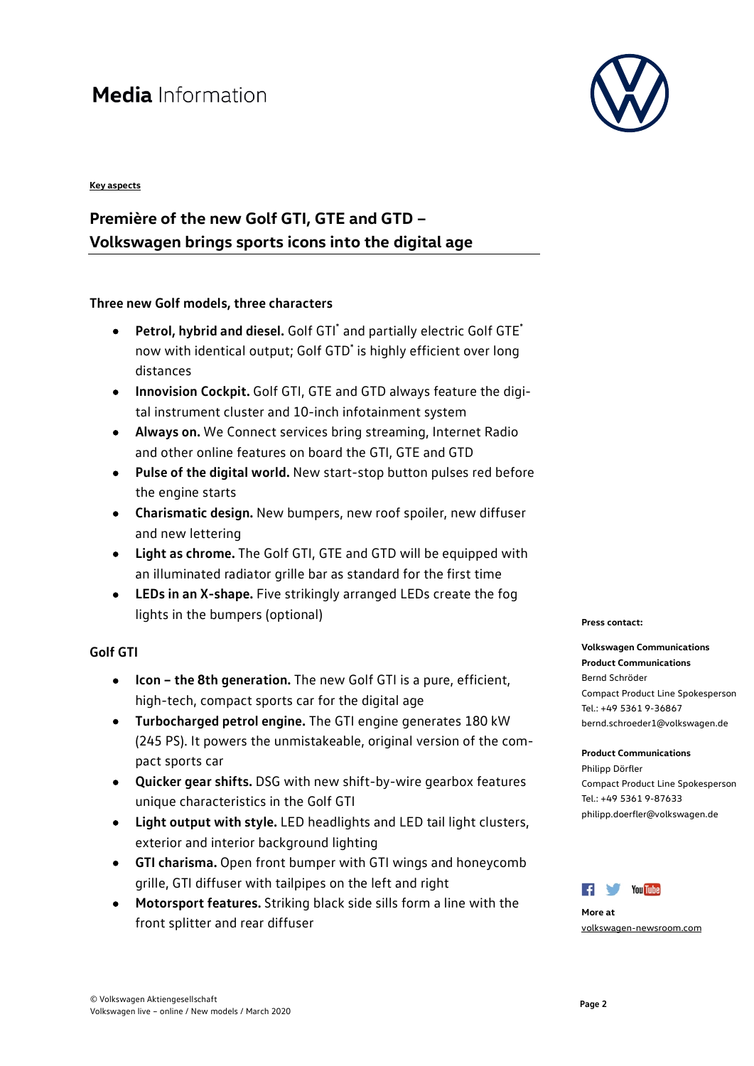#### **Key aspects**

### **Première of the new Golf GTI, GTE and GTD – Volkswagen brings sports icons into the digital age**

#### **Three new Golf models, three characters**

- **Petrol, hybrid and diesel.** Golf GTI\* and partially electric Golf GTE\* now with identical output; Golf GTD\* is highly efficient over long distances
- **Innovision Cockpit.** Golf GTI, GTE and GTD always feature the digital instrument cluster and 10-inch infotainment system
- **Always on.** We Connect services bring streaming, Internet Radio and other online features on board the GTI, GTE and GTD
- **Pulse of the digital world.** New start-stop button pulses red before the engine starts
- **Charismatic design.** New bumpers, new roof spoiler, new diffuser and new lettering
- **Light as chrome.** The Golf GTI, GTE and GTD will be equipped with an illuminated radiator grille bar as standard for the first time
- **LEDs in an X-shape.** Five strikingly arranged LEDs create the fog lights in the bumpers (optional)

#### **Golf GTI**

- **Icon the 8th generation.** The new Golf GTI is a pure, efficient, high-tech, compact sports car for the digital age
- **Turbocharged petrol engine.** The GTI engine generates 180 kW (245 PS). It powers the unmistakeable, original version of the compact sports car
- **Quicker gear shifts.** DSG with new shift-by-wire gearbox features unique characteristics in the Golf GTI
- **Light output with style.** LED headlights and LED tail light clusters, exterior and interior background lighting
- **GTI charisma.** Open front bumper with GTI wings and honeycomb grille, GTI diffuser with tailpipes on the left and right
- **Motorsport features.** Striking black side sills form a line with the front splitter and rear diffuser



#### **Press contact:**

#### **Volkswagen Communications**

**Product Communications** Bernd Schröder Compact Product Line Spokesperson Tel.: +49 5361 9-36867 bernd.schroeder1@volkswagen.de

### **Product Communications**

Philipp Dörfler Compact Product Line Spokesperson Tel.: +49 5361 9-87633 philipp.doerfler@volkswagen.de



**More at** [volkswagen-newsroom.com](https://www.volkswagen-media-services.com/)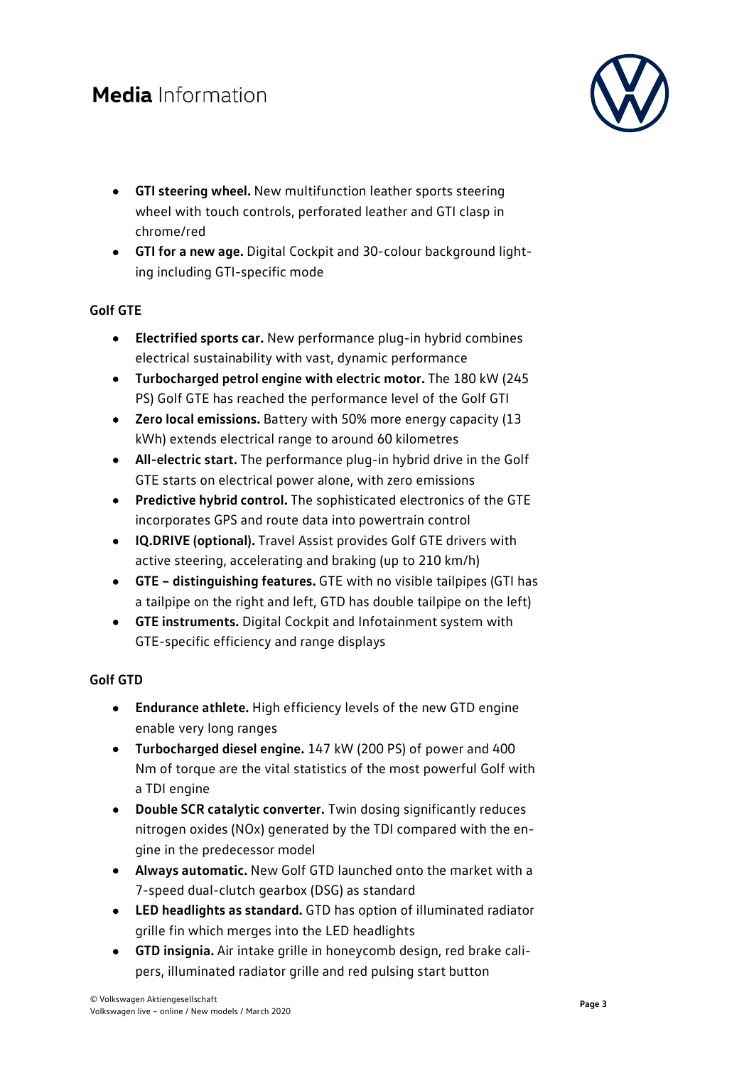

- **GTI steering wheel.** New multifunction leather sports steering wheel with touch controls, perforated leather and GTI clasp in chrome/red
- **GTI for a new age.** Digital Cockpit and 30-colour background lighting including GTI-specific mode

#### **Golf GTE**

- **Electrified sports car.** New performance plug-in hybrid combines electrical sustainability with vast, dynamic performance
- **Turbocharged petrol engine with electric motor.** The 180 kW (245 PS) Golf GTE has reached the performance level of the Golf GTI
- **Zero local emissions.** Battery with 50% more energy capacity (13 kWh) extends electrical range to around 60 kilometres
- **All-electric start.** The performance plug-in hybrid drive in the Golf GTE starts on electrical power alone, with zero emissions
- **Predictive hybrid control.** The sophisticated electronics of the GTE incorporates GPS and route data into powertrain control
- **IQ.DRIVE (optional).** Travel Assist provides Golf GTE drivers with active steering, accelerating and braking (up to 210 km/h)
- **GTE distinguishing features.** GTE with no visible tailpipes (GTI has a tailpipe on the right and left, GTD has double tailpipe on the left)
- **GTE instruments.** Digital Cockpit and Infotainment system with GTE-specific efficiency and range displays

### **Golf GTD**

- **Endurance athlete.** High efficiency levels of the new GTD engine enable very long ranges
- **Turbocharged diesel engine.** 147 kW (200 PS) of power and 400 Nm of torque are the vital statistics of the most powerful Golf with a TDI engine
- **Double SCR catalytic converter.** Twin dosing significantly reduces nitrogen oxides (NOx) generated by the TDI compared with the engine in the predecessor model
- **Always automatic.** New Golf GTD launched onto the market with a 7-speed dual-clutch gearbox (DSG) as standard
- **LED headlights as standard.** GTD has option of illuminated radiator grille fin which merges into the LED headlights
- **GTD insignia.** Air intake grille in honeycomb design, red brake calipers, illuminated radiator grille and red pulsing start button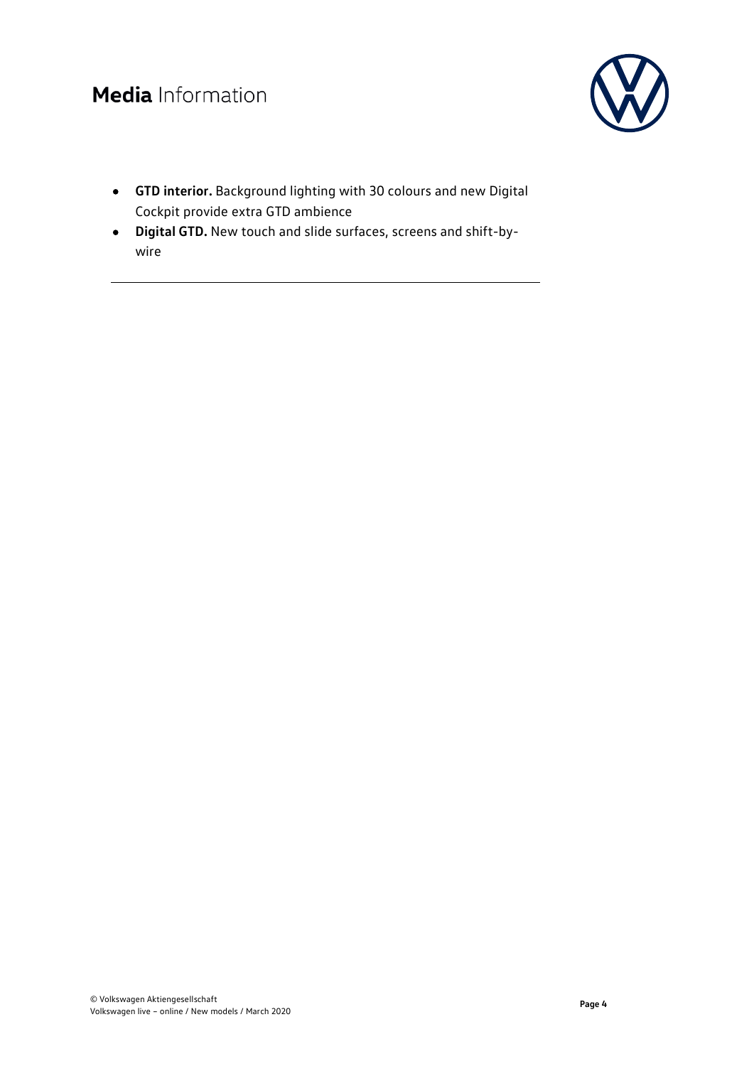

- **GTD interior.** Background lighting with 30 colours and new Digital Cockpit provide extra GTD ambience
- **Digital GTD.** New touch and slide surfaces, screens and shift-bywire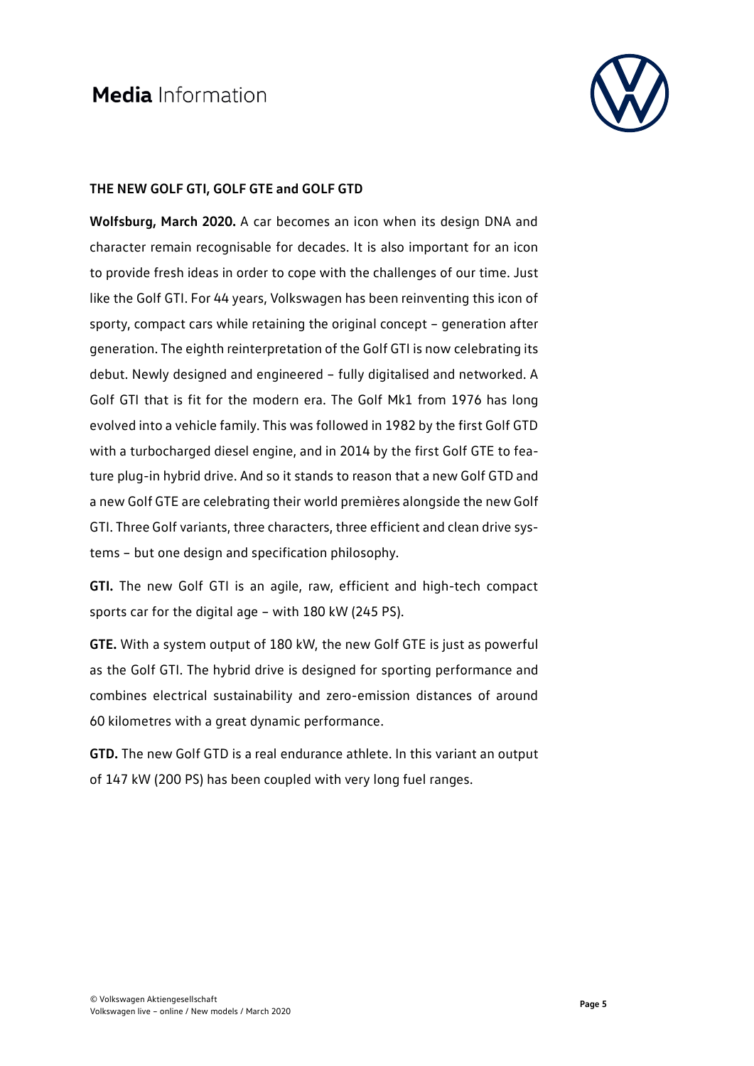

#### **THE NEW GOLF GTI, GOLF GTE and GOLF GTD**

**Wolfsburg, March 2020.** A car becomes an icon when its design DNA and character remain recognisable for decades. It is also important for an icon to provide fresh ideas in order to cope with the challenges of our time. Just like the Golf GTI. For 44 years, Volkswagen has been reinventing this icon of sporty, compact cars while retaining the original concept – generation after generation. The eighth reinterpretation of the Golf GTI is now celebrating its debut. Newly designed and engineered – fully digitalised and networked. A Golf GTI that is fit for the modern era. The Golf Mk1 from 1976 has long evolved into a vehicle family. This was followed in 1982 by the first Golf GTD with a turbocharged diesel engine, and in 2014 by the first Golf GTE to feature plug-in hybrid drive. And so it stands to reason that a new Golf GTD and a new Golf GTE are celebrating their world premières alongside the new Golf GTI. Three Golf variants, three characters, three efficient and clean drive systems – but one design and specification philosophy.

**GTI.** The new Golf GTI is an agile, raw, efficient and high-tech compact sports car for the digital age – with 180 kW (245 PS).

**GTE.** With a system output of 180 kW, the new Golf GTE is just as powerful as the Golf GTI. The hybrid drive is designed for sporting performance and combines electrical sustainability and zero-emission distances of around 60 kilometres with a great dynamic performance.

**GTD.** The new Golf GTD is a real endurance athlete. In this variant an output of 147 kW (200 PS) has been coupled with very long fuel ranges.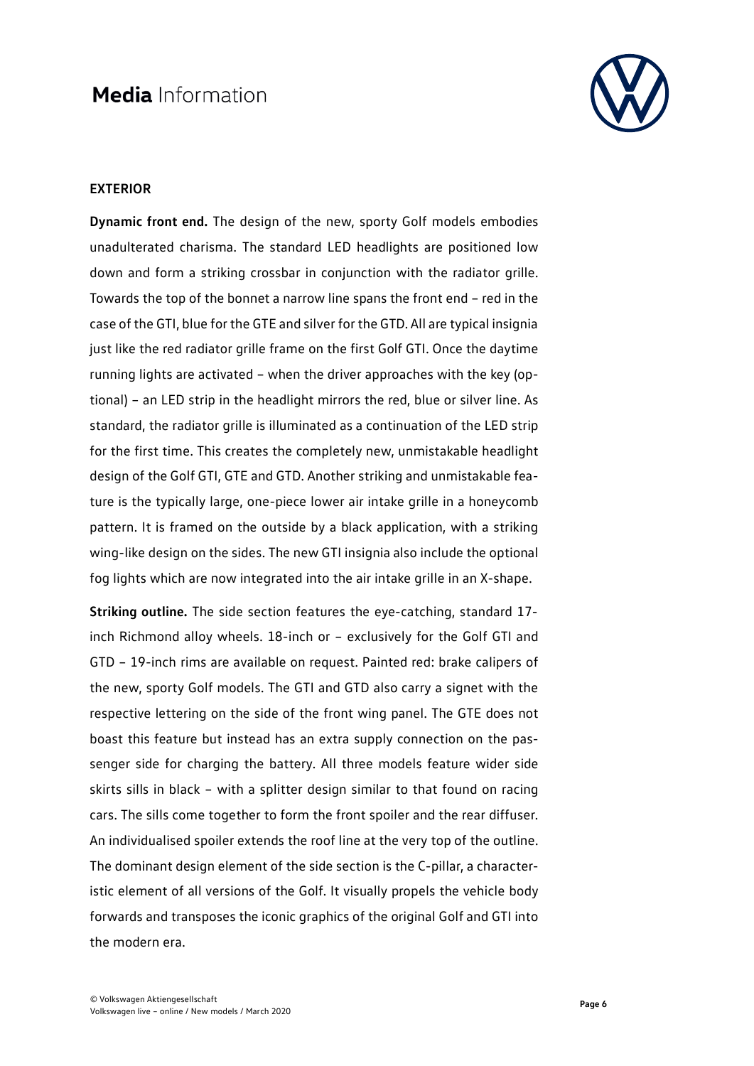

#### **EXTERIOR**

**Dynamic front end.** The design of the new, sporty Golf models embodies unadulterated charisma. The standard LED headlights are positioned low down and form a striking crossbar in conjunction with the radiator grille. Towards the top of the bonnet a narrow line spans the front end – red in the case of the GTI, blue for the GTE and silver for the GTD. All are typical insignia just like the red radiator grille frame on the first Golf GTI. Once the daytime running lights are activated – when the driver approaches with the key (optional) – an LED strip in the headlight mirrors the red, blue or silver line. As standard, the radiator grille is illuminated as a continuation of the LED strip for the first time. This creates the completely new, unmistakable headlight design of the Golf GTI, GTE and GTD. Another striking and unmistakable feature is the typically large, one-piece lower air intake grille in a honeycomb pattern. It is framed on the outside by a black application, with a striking wing-like design on the sides. The new GTI insignia also include the optional fog lights which are now integrated into the air intake grille in an X-shape.

**Striking outline.** The side section features the eye-catching, standard 17 inch Richmond alloy wheels. 18-inch or – exclusively for the Golf GTI and GTD – 19-inch rims are available on request. Painted red: brake calipers of the new, sporty Golf models. The GTI and GTD also carry a signet with the respective lettering on the side of the front wing panel. The GTE does not boast this feature but instead has an extra supply connection on the passenger side for charging the battery. All three models feature wider side skirts sills in black – with a splitter design similar to that found on racing cars. The sills come together to form the front spoiler and the rear diffuser. An individualised spoiler extends the roof line at the very top of the outline. The dominant design element of the side section is the C-pillar, a characteristic element of all versions of the Golf. It visually propels the vehicle body forwards and transposes the iconic graphics of the original Golf and GTI into the modern era.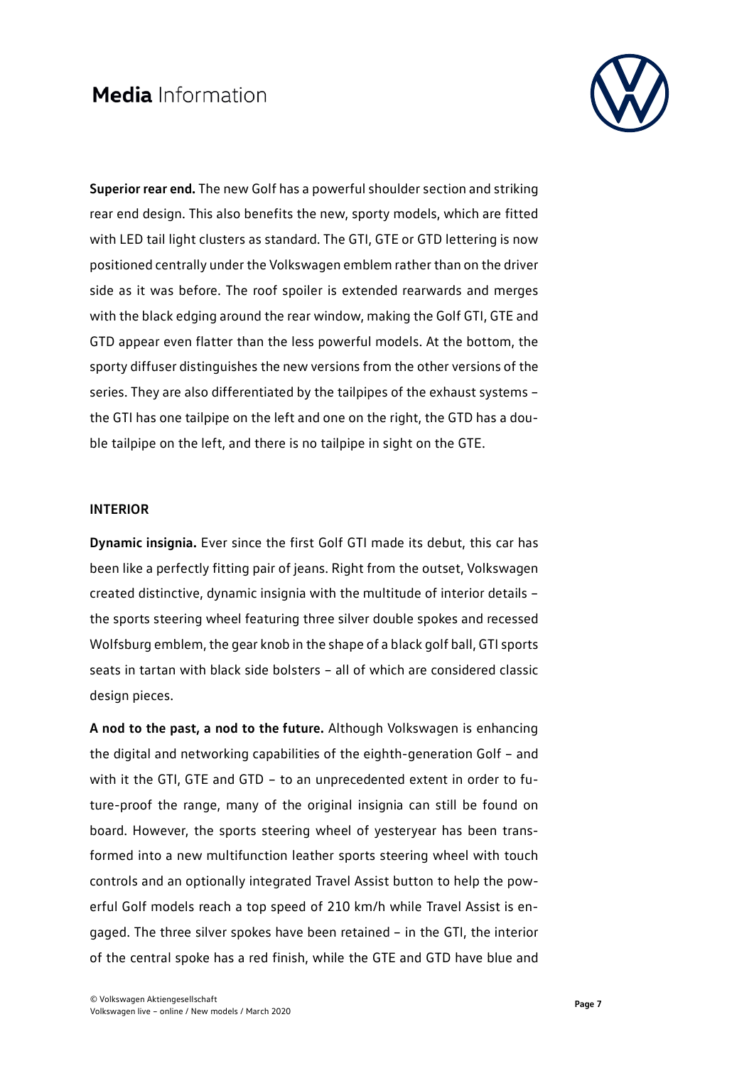

**Superior rear end.** The new Golf has a powerful shoulder section and striking rear end design. This also benefits the new, sporty models, which are fitted with LED tail light clusters as standard. The GTI, GTE or GTD lettering is now positioned centrally under the Volkswagen emblem rather than on the driver side as it was before. The roof spoiler is extended rearwards and merges with the black edging around the rear window, making the Golf GTI, GTE and GTD appear even flatter than the less powerful models. At the bottom, the sporty diffuser distinguishes the new versions from the other versions of the series. They are also differentiated by the tailpipes of the exhaust systems – the GTI has one tailpipe on the left and one on the right, the GTD has a double tailpipe on the left, and there is no tailpipe in sight on the GTE.

#### **INTERIOR**

**Dynamic insignia.** Ever since the first Golf GTI made its debut, this car has been like a perfectly fitting pair of jeans. Right from the outset, Volkswagen created distinctive, dynamic insignia with the multitude of interior details – the sports steering wheel featuring three silver double spokes and recessed Wolfsburg emblem, the gear knob in the shape of a black golf ball, GTI sports seats in tartan with black side bolsters – all of which are considered classic design pieces.

**A nod to the past, a nod to the future.** Although Volkswagen is enhancing the digital and networking capabilities of the eighth-generation Golf – and with it the GTI, GTE and GTD – to an unprecedented extent in order to future-proof the range, many of the original insignia can still be found on board. However, the sports steering wheel of yesteryear has been transformed into a new multifunction leather sports steering wheel with touch controls and an optionally integrated Travel Assist button to help the powerful Golf models reach a top speed of 210 km/h while Travel Assist is engaged. The three silver spokes have been retained – in the GTI, the interior of the central spoke has a red finish, while the GTE and GTD have blue and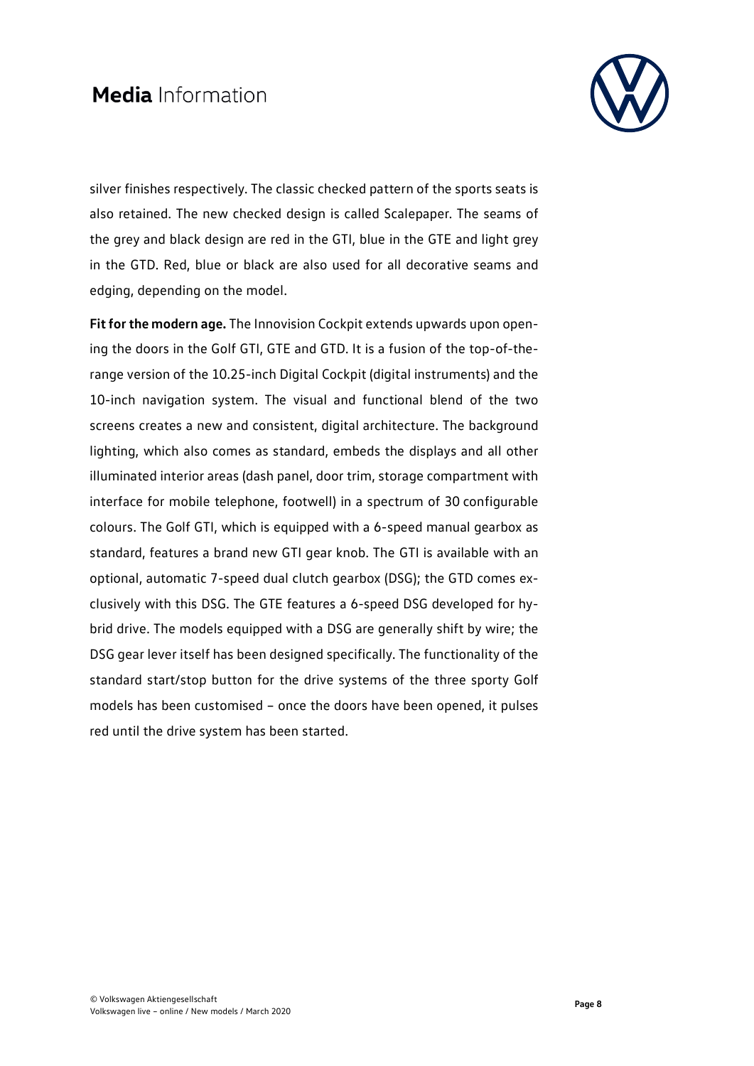

silver finishes respectively. The classic checked pattern of the sports seats is also retained. The new checked design is called Scalepaper. The seams of the grey and black design are red in the GTI, blue in the GTE and light grey in the GTD. Red, blue or black are also used for all decorative seams and edging, depending on the model.

**Fit for the modern age.** The Innovision Cockpit extends upwards upon opening the doors in the Golf GTI, GTE and GTD. It is a fusion of the top-of-therange version of the 10.25-inch Digital Cockpit (digital instruments) and the 10-inch navigation system. The visual and functional blend of the two screens creates a new and consistent, digital architecture. The background lighting, which also comes as standard, embeds the displays and all other illuminated interior areas (dash panel, door trim, storage compartment with interface for mobile telephone, footwell) in a spectrum of 30 configurable colours. The Golf GTI, which is equipped with a 6-speed manual gearbox as standard, features a brand new GTI gear knob. The GTI is available with an optional, automatic 7-speed dual clutch gearbox (DSG); the GTD comes exclusively with this DSG. The GTE features a 6-speed DSG developed for hybrid drive. The models equipped with a DSG are generally shift by wire; the DSG gear lever itself has been designed specifically. The functionality of the standard start/stop button for the drive systems of the three sporty Golf models has been customised – once the doors have been opened, it pulses red until the drive system has been started.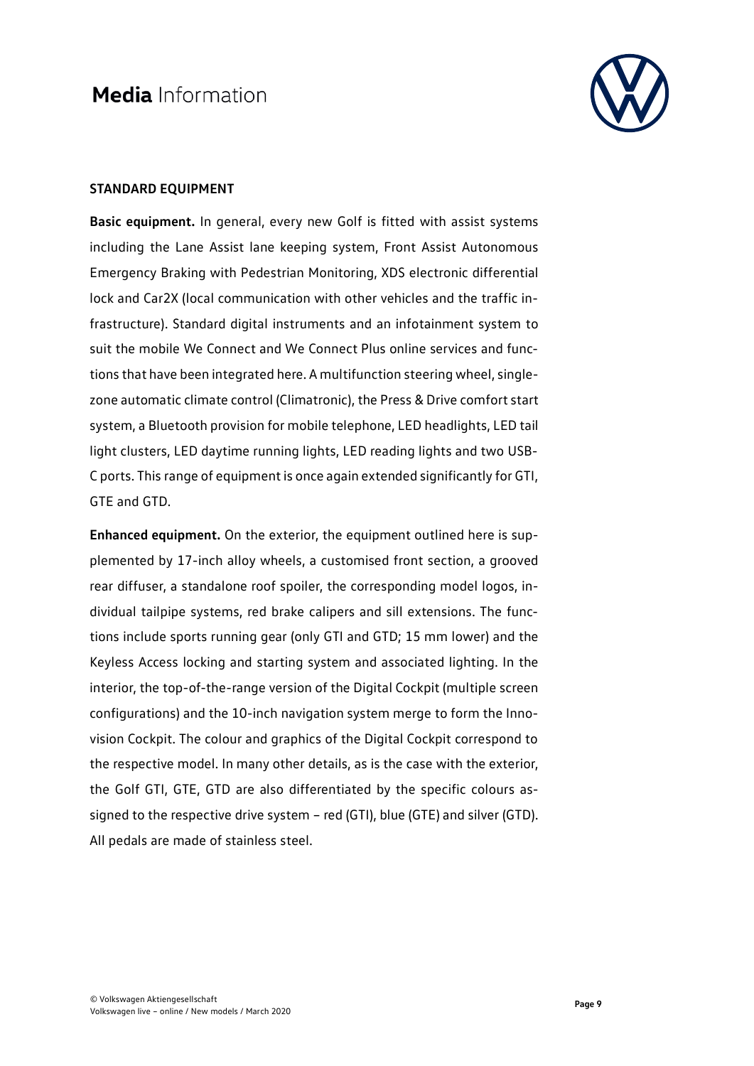

#### **STANDARD EQUIPMENT**

**Basic equipment.** In general, every new Golf is fitted with assist systems including the Lane Assist lane keeping system, Front Assist Autonomous Emergency Braking with Pedestrian Monitoring, XDS electronic differential lock and Car2X (local communication with other vehicles and the traffic infrastructure). Standard digital instruments and an infotainment system to suit the mobile We Connect and We Connect Plus online services and functions that have been integrated here. A multifunction steering wheel, singlezone automatic climate control (Climatronic), the Press & Drive comfort start system, a Bluetooth provision for mobile telephone, LED headlights, LED tail light clusters, LED daytime running lights, LED reading lights and two USB-C ports. This range of equipment is once again extended significantly for GTI, GTE and GTD.

**Enhanced equipment.** On the exterior, the equipment outlined here is supplemented by 17-inch alloy wheels, a customised front section, a grooved rear diffuser, a standalone roof spoiler, the corresponding model logos, individual tailpipe systems, red brake calipers and sill extensions. The functions include sports running gear (only GTI and GTD; 15 mm lower) and the Keyless Access locking and starting system and associated lighting. In the interior, the top-of-the-range version of the Digital Cockpit (multiple screen configurations) and the 10-inch navigation system merge to form the Innovision Cockpit. The colour and graphics of the Digital Cockpit correspond to the respective model. In many other details, as is the case with the exterior, the Golf GTI, GTE, GTD are also differentiated by the specific colours assigned to the respective drive system – red (GTI), blue (GTE) and silver (GTD). All pedals are made of stainless steel.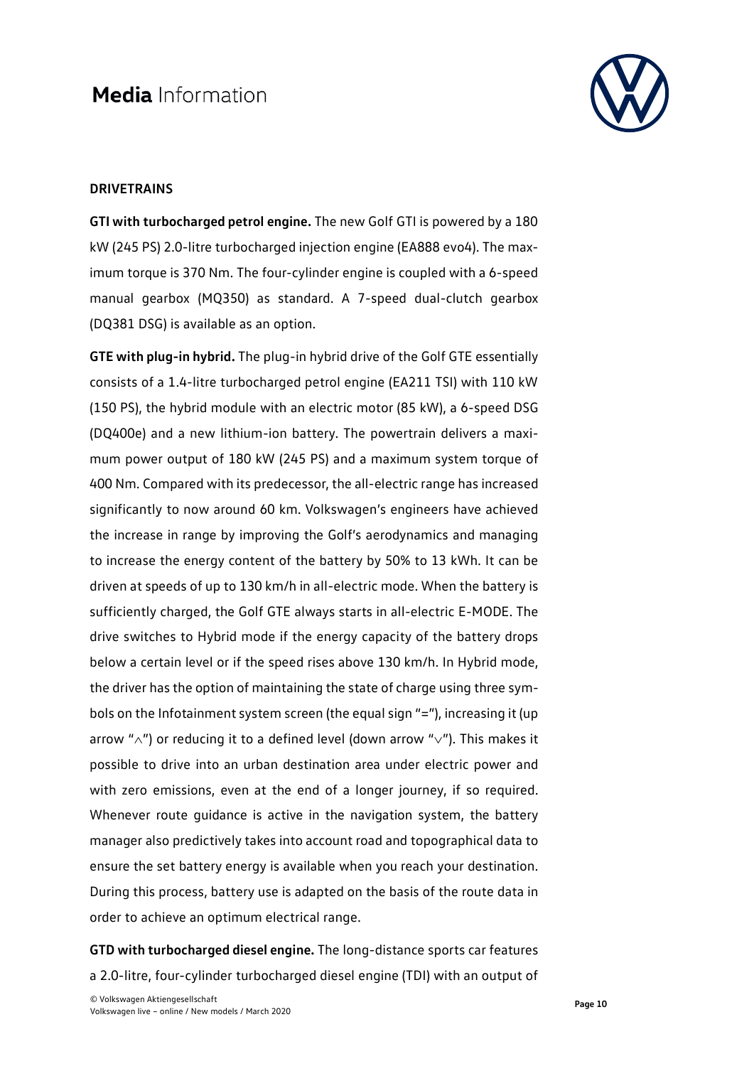

#### **DRIVETRAINS**

**GTI with turbocharged petrol engine.** The new Golf GTI is powered by a 180 kW (245 PS) 2.0-litre turbocharged injection engine (EA888 evo4). The maximum torque is 370 Nm. The four-cylinder engine is coupled with a 6-speed manual gearbox (MQ350) as standard. A 7-speed dual-clutch gearbox (DQ381 DSG) is available as an option.

**GTE with plug-in hybrid.** The plug-in hybrid drive of the Golf GTE essentially consists of a 1.4-litre turbocharged petrol engine (EA211 TSI) with 110 kW (150 PS), the hybrid module with an electric motor (85 kW), a 6-speed DSG (DQ400e) and a new lithium-ion battery. The powertrain delivers a maximum power output of 180 kW (245 PS) and a maximum system torque of 400 Nm. Compared with its predecessor, the all-electric range has increased significantly to now around 60 km. Volkswagen's engineers have achieved the increase in range by improving the Golf's aerodynamics and managing to increase the energy content of the battery by 50% to 13 kWh. It can be driven at speeds of up to 130 km/h in all-electric mode. When the battery is sufficiently charged, the Golf GTE always starts in all-electric E-MODE. The drive switches to Hybrid mode if the energy capacity of the battery drops below a certain level or if the speed rises above 130 km/h. In Hybrid mode, the driver has the option of maintaining the state of charge using three symbols on the Infotainment system screen (the equal sign "="), increasing it (up arrow "∧") or reducing it to a defined level (down arrow "∨"). This makes it possible to drive into an urban destination area under electric power and with zero emissions, even at the end of a longer journey, if so required. Whenever route guidance is active in the navigation system, the battery manager also predictively takes into account road and topographical data to ensure the set battery energy is available when you reach your destination. During this process, battery use is adapted on the basis of the route data in order to achieve an optimum electrical range.

**GTD with turbocharged diesel engine.** The long-distance sports car features a 2.0-litre, four-cylinder turbocharged diesel engine (TDI) with an output of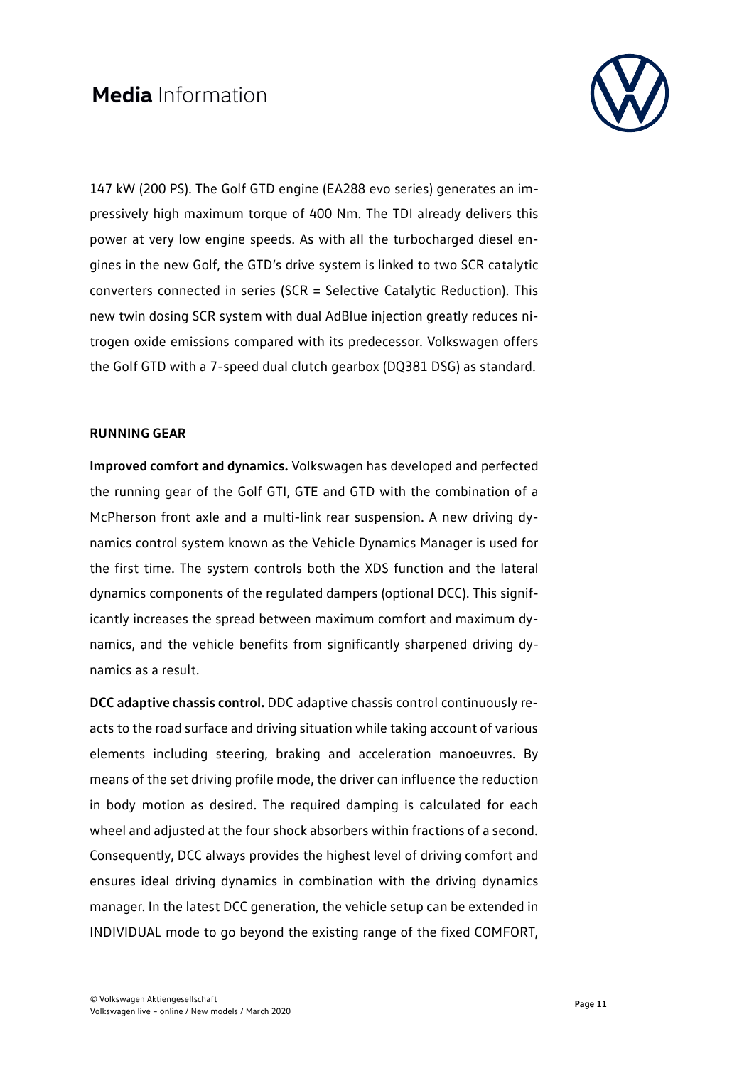

147 kW (200 PS). The Golf GTD engine (EA288 evo series) generates an impressively high maximum torque of 400 Nm. The TDI already delivers this power at very low engine speeds. As with all the turbocharged diesel engines in the new Golf, the GTD's drive system is linked to two SCR catalytic converters connected in series (SCR = Selective Catalytic Reduction). This new twin dosing SCR system with dual AdBlue injection greatly reduces nitrogen oxide emissions compared with its predecessor. Volkswagen offers the Golf GTD with a 7-speed dual clutch gearbox (DQ381 DSG) as standard.

#### **RUNNING GEAR**

**Improved comfort and dynamics.** Volkswagen has developed and perfected the running gear of the Golf GTI, GTE and GTD with the combination of a McPherson front axle and a multi-link rear suspension. A new driving dynamics control system known as the Vehicle Dynamics Manager is used for the first time. The system controls both the XDS function and the lateral dynamics components of the regulated dampers (optional DCC). This significantly increases the spread between maximum comfort and maximum dynamics, and the vehicle benefits from significantly sharpened driving dynamics as a result.

**DCC adaptive chassis control.** DDC adaptive chassis control continuously reacts to the road surface and driving situation while taking account of various elements including steering, braking and acceleration manoeuvres. By means of the set driving profile mode, the driver can influence the reduction in body motion as desired. The required damping is calculated for each wheel and adjusted at the four shock absorbers within fractions of a second. Consequently, DCC always provides the highest level of driving comfort and ensures ideal driving dynamics in combination with the driving dynamics manager. In the latest DCC generation, the vehicle setup can be extended in INDIVIDUAL mode to go beyond the existing range of the fixed COMFORT,